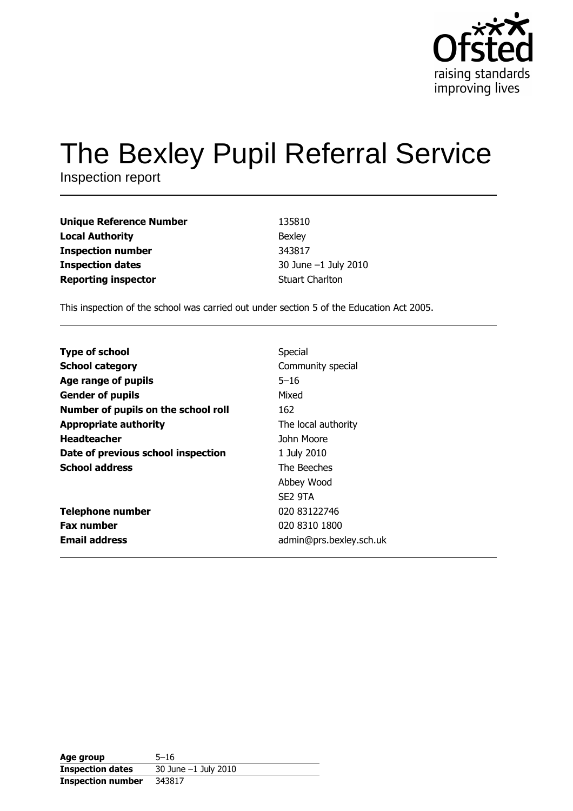

# The Bexley Pupil Referral Service

Inspection report

| <b>Unique Reference Number</b> | 135810                 |
|--------------------------------|------------------------|
| <b>Local Authority</b>         | Bexley                 |
| <b>Inspection number</b>       | 343817                 |
| <b>Inspection dates</b>        | 30 June -1 July 2010   |
| <b>Reporting inspector</b>     | <b>Stuart Charlton</b> |

This inspection of the school was carried out under section 5 of the Education Act 2005.

| <b>Type of school</b>               | Special                 |
|-------------------------------------|-------------------------|
| <b>School category</b>              | Community special       |
| Age range of pupils                 | $5 - 16$                |
| <b>Gender of pupils</b>             | Mixed                   |
| Number of pupils on the school roll | 162                     |
| <b>Appropriate authority</b>        | The local authority     |
| <b>Headteacher</b>                  | John Moore              |
| Date of previous school inspection  | 1 July 2010             |
| <b>School address</b>               | The Beeches             |
|                                     | Abbey Wood              |
|                                     | SE2 9TA                 |
| <b>Telephone number</b>             | 020 83122746            |
| <b>Fax number</b>                   | 020 8310 1800           |
| <b>Email address</b>                | admin@prs.bexley.sch.uk |

| Age group                | $5 - 16$               |
|--------------------------|------------------------|
| <b>Inspection dates</b>  | 30 June $-1$ July 2010 |
| <b>Inspection number</b> | 343817                 |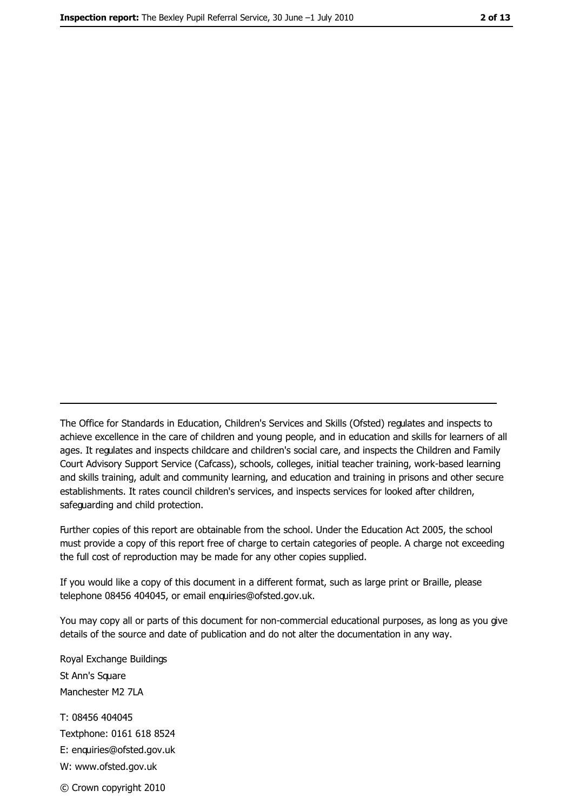The Office for Standards in Education, Children's Services and Skills (Ofsted) regulates and inspects to achieve excellence in the care of children and young people, and in education and skills for learners of all ages. It regulates and inspects childcare and children's social care, and inspects the Children and Family Court Advisory Support Service (Cafcass), schools, colleges, initial teacher training, work-based learning and skills training, adult and community learning, and education and training in prisons and other secure establishments. It rates council children's services, and inspects services for looked after children, safeguarding and child protection.

Further copies of this report are obtainable from the school. Under the Education Act 2005, the school must provide a copy of this report free of charge to certain categories of people. A charge not exceeding the full cost of reproduction may be made for any other copies supplied.

If you would like a copy of this document in a different format, such as large print or Braille, please telephone 08456 404045, or email enquiries@ofsted.gov.uk.

You may copy all or parts of this document for non-commercial educational purposes, as long as you give details of the source and date of publication and do not alter the documentation in any way.

Royal Exchange Buildings St Ann's Square Manchester M2 7LA T: 08456 404045 Textphone: 0161 618 8524 E: enquiries@ofsted.gov.uk W: www.ofsted.gov.uk © Crown copyright 2010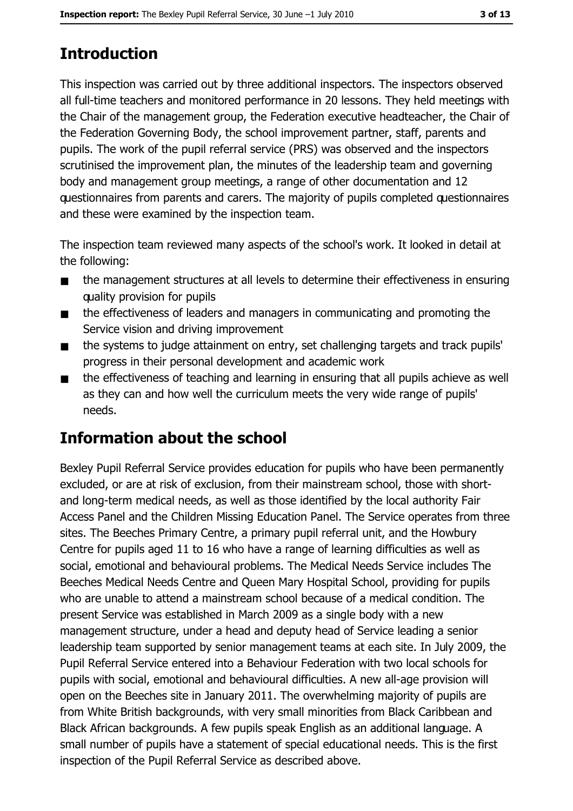# **Introduction**

This inspection was carried out by three additional inspectors. The inspectors observed all full-time teachers and monitored performance in 20 lessons. They held meetings with the Chair of the management group, the Federation executive headteacher, the Chair of the Federation Governing Body, the school improvement partner, staff, parents and pupils. The work of the pupil referral service (PRS) was observed and the inspectors scrutinised the improvement plan, the minutes of the leadership team and governing body and management group meetings, a range of other documentation and 12 questionnaires from parents and carers. The majority of pupils completed questionnaires and these were examined by the inspection team.

The inspection team reviewed many aspects of the school's work. It looked in detail at the following:

- $\blacksquare$ the management structures at all levels to determine their effectiveness in ensuring quality provision for pupils
- the effectiveness of leaders and managers in communicating and promoting the  $\blacksquare$ Service vision and driving improvement
- the systems to judge attainment on entry, set challenging targets and track pupils'  $\blacksquare$ progress in their personal development and academic work
- the effectiveness of teaching and learning in ensuring that all pupils achieve as well  $\blacksquare$ as they can and how well the curriculum meets the very wide range of pupils' needs.

# Information about the school

Bexley Pupil Referral Service provides education for pupils who have been permanently excluded, or are at risk of exclusion, from their mainstream school, those with shortand long-term medical needs, as well as those identified by the local authority Fair Access Panel and the Children Missing Education Panel. The Service operates from three sites. The Beeches Primary Centre, a primary pupil referral unit, and the Howbury Centre for pupils aged 11 to 16 who have a range of learning difficulties as well as social, emotional and behavioural problems. The Medical Needs Service includes The Beeches Medical Needs Centre and Queen Mary Hospital School, providing for pupils who are unable to attend a mainstream school because of a medical condition. The present Service was established in March 2009 as a single body with a new management structure, under a head and deputy head of Service leading a senior leadership team supported by senior management teams at each site. In July 2009, the Pupil Referral Service entered into a Behaviour Federation with two local schools for pupils with social, emotional and behavioural difficulties. A new all-age provision will open on the Beeches site in January 2011. The overwhelming majority of pupils are from White British backgrounds, with very small minorities from Black Caribbean and Black African backgrounds. A few pupils speak English as an additional language. A small number of pupils have a statement of special educational needs. This is the first inspection of the Pupil Referral Service as described above.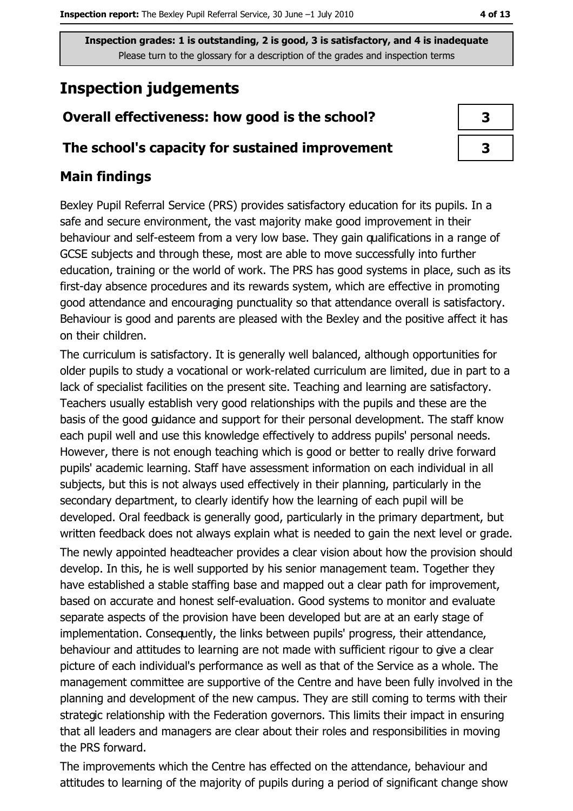# **Inspection judgements**

## Overall effectiveness: how good is the school?

## The school's capacity for sustained improvement

## **Main findings**

Bexley Pupil Referral Service (PRS) provides satisfactory education for its pupils. In a safe and secure environment, the vast majority make good improvement in their behaviour and self-esteem from a very low base. They gain qualifications in a range of GCSE subjects and through these, most are able to move successfully into further education, training or the world of work. The PRS has good systems in place, such as its first-day absence procedures and its rewards system, which are effective in promoting good attendance and encouraging punctuality so that attendance overall is satisfactory. Behaviour is good and parents are pleased with the Bexley and the positive affect it has on their children.

The curriculum is satisfactory. It is generally well balanced, although opportunities for older pupils to study a vocational or work-related curriculum are limited, due in part to a lack of specialist facilities on the present site. Teaching and learning are satisfactory. Teachers usually establish very good relationships with the pupils and these are the basis of the good guidance and support for their personal development. The staff know each pupil well and use this knowledge effectively to address pupils' personal needs. However, there is not enough teaching which is good or better to really drive forward pupils' academic learning. Staff have assessment information on each individual in all subjects, but this is not always used effectively in their planning, particularly in the secondary department, to clearly identify how the learning of each pupil will be developed. Oral feedback is generally good, particularly in the primary department, but written feedback does not always explain what is needed to gain the next level or grade.

The newly appointed headteacher provides a clear vision about how the provision should develop. In this, he is well supported by his senior management team. Together they have established a stable staffing base and mapped out a clear path for improvement, based on accurate and honest self-evaluation. Good systems to monitor and evaluate separate aspects of the provision have been developed but are at an early stage of implementation. Consequently, the links between pupils' progress, their attendance, behaviour and attitudes to learning are not made with sufficient rigour to give a clear picture of each individual's performance as well as that of the Service as a whole. The management committee are supportive of the Centre and have been fully involved in the planning and development of the new campus. They are still coming to terms with their strategic relationship with the Federation governors. This limits their impact in ensuring that all leaders and managers are clear about their roles and responsibilities in moving the PRS forward.

The improvements which the Centre has effected on the attendance, behaviour and attitudes to learning of the majority of pupils during a period of significant change show

| 3 |
|---|
| 3 |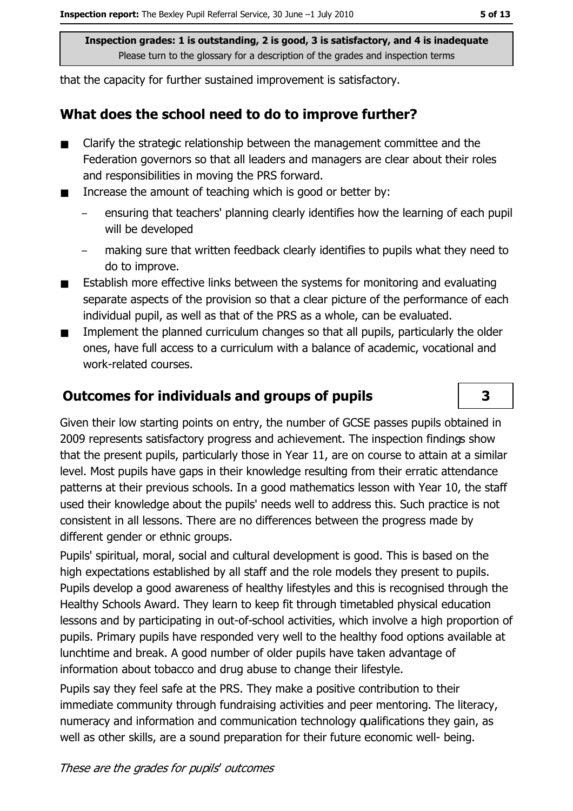that the capacity for further sustained improvement is satisfactory.

#### What does the school need to do to improve further?

- Clarify the strategic relationship between the management committee and the  $\blacksquare$ Federation governors so that all leaders and managers are clear about their roles and responsibilities in moving the PRS forward.
- Increase the amount of teaching which is good or better by:  $\blacksquare$ 
	- ensuring that teachers' planning clearly identifies how the learning of each pupil will be developed
	- making sure that written feedback clearly identifies to pupils what they need to do to improve.
- Establish more effective links between the systems for monitoring and evaluating  $\blacksquare$ separate aspects of the provision so that a clear picture of the performance of each individual pupil, as well as that of the PRS as a whole, can be evaluated.
- Implement the planned curriculum changes so that all pupils, particularly the older  $\blacksquare$ ones, have full access to a curriculum with a balance of academic, vocational and work-related courses.

#### **Outcomes for individuals and groups of pupils**

Given their low starting points on entry, the number of GCSE passes pupils obtained in 2009 represents satisfactory progress and achievement. The inspection findings show that the present pupils, particularly those in Year 11, are on course to attain at a similar level. Most pupils have gaps in their knowledge resulting from their erratic attendance patterns at their previous schools. In a good mathematics lesson with Year 10, the staff used their knowledge about the pupils' needs well to address this. Such practice is not consistent in all lessons. There are no differences between the progress made by different gender or ethnic groups.

Pupils' spiritual, moral, social and cultural development is good. This is based on the high expectations established by all staff and the role models they present to pupils. Pupils develop a good awareness of healthy lifestyles and this is recognised through the Healthy Schools Award. They learn to keep fit through timetabled physical education lessons and by participating in out-of-school activities, which involve a high proportion of pupils. Primary pupils have responded very well to the healthy food options available at lunchtime and break. A good number of older pupils have taken advantage of information about tobacco and drug abuse to change their lifestyle.

Pupils say they feel safe at the PRS. They make a positive contribution to their immediate community through fundraising activities and peer mentoring. The literacy, numeracy and information and communication technology qualifications they gain, as well as other skills, are a sound preparation for their future economic well- being.

 $\overline{\mathbf{3}}$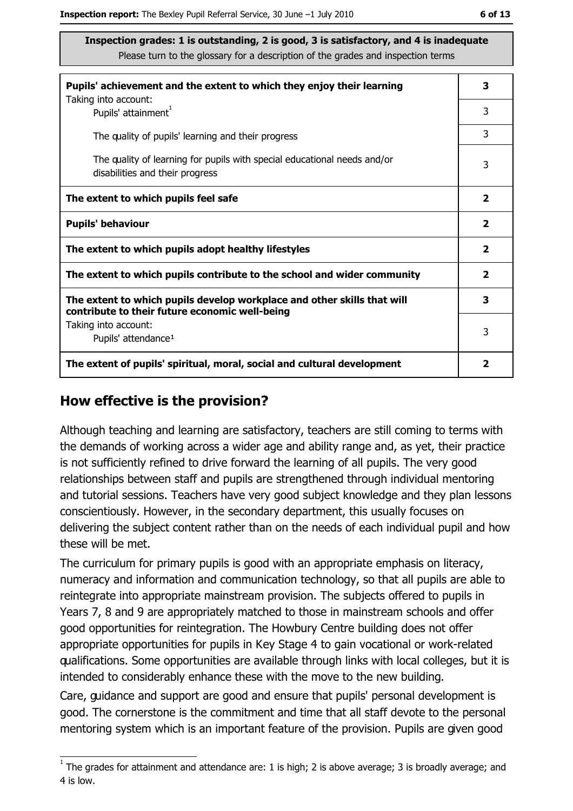| Pupils' achievement and the extent to which they enjoy their learning<br>Taking into account:                             | 3                       |
|---------------------------------------------------------------------------------------------------------------------------|-------------------------|
| Pupils' attainment <sup>1</sup>                                                                                           | 3                       |
| The quality of pupils' learning and their progress                                                                        | 3                       |
| The quality of learning for pupils with special educational needs and/or<br>disabilities and their progress               | 3                       |
| The extent to which pupils feel safe                                                                                      | $\overline{\mathbf{2}}$ |
| <b>Pupils' behaviour</b>                                                                                                  | $\mathbf{2}$            |
| The extent to which pupils adopt healthy lifestyles                                                                       | $\mathbf{2}$            |
| The extent to which pupils contribute to the school and wider community                                                   |                         |
| The extent to which pupils develop workplace and other skills that will<br>contribute to their future economic well-being | 3                       |
| Taking into account:                                                                                                      | 3                       |
| Pupils' attendance <sup>1</sup>                                                                                           |                         |
| The extent of pupils' spiritual, moral, social and cultural development                                                   | $\overline{\mathbf{2}}$ |

## How effective is the provision?

Although teaching and learning are satisfactory, teachers are still coming to terms with the demands of working across a wider age and ability range and, as yet, their practice is not sufficiently refined to drive forward the learning of all pupils. The very good relationships between staff and pupils are strengthened through individual mentoring and tutorial sessions. Teachers have very good subject knowledge and they plan lessons conscientiously. However, in the secondary department, this usually focuses on delivering the subject content rather than on the needs of each individual pupil and how these will be met.

The curriculum for primary pupils is good with an appropriate emphasis on literacy, numeracy and information and communication technology, so that all pupils are able to reintegrate into appropriate mainstream provision. The subjects offered to pupils in Years 7, 8 and 9 are appropriately matched to those in mainstream schools and offer good opportunities for reintegration. The Howbury Centre building does not offer appropriate opportunities for pupils in Key Stage 4 to gain vocational or work-related qualifications. Some opportunities are available through links with local colleges, but it is intended to considerably enhance these with the move to the new building.

Care, guidance and support are good and ensure that pupils' personal development is good. The cornerstone is the commitment and time that all staff devote to the personal mentoring system which is an important feature of the provision. Pupils are given good

 $\overline{1}$  The grades for attainment and attendance are: 1 is high; 2 is above average; 3 is broadly average; and 4 is low.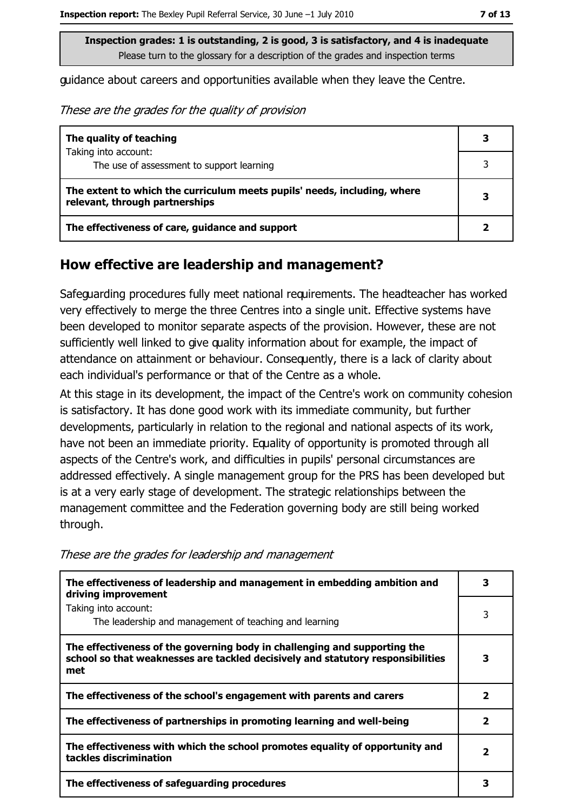quidance about careers and opportunities available when they leave the Centre.

These are the grades for the quality of provision

| The quality of teaching                                                                                    |   |
|------------------------------------------------------------------------------------------------------------|---|
| Taking into account:<br>The use of assessment to support learning                                          |   |
|                                                                                                            |   |
| The extent to which the curriculum meets pupils' needs, including, where<br>relevant, through partnerships | 3 |
| The effectiveness of care, guidance and support                                                            |   |

#### How effective are leadership and management?

Safeguarding procedures fully meet national requirements. The headteacher has worked very effectively to merge the three Centres into a single unit. Effective systems have been developed to monitor separate aspects of the provision. However, these are not sufficiently well linked to give quality information about for example, the impact of attendance on attainment or behaviour. Consequently, there is a lack of clarity about each individual's performance or that of the Centre as a whole.

At this stage in its development, the impact of the Centre's work on community cohesion is satisfactory. It has done good work with its immediate community, but further developments, particularly in relation to the regional and national aspects of its work, have not been an immediate priority. Equality of opportunity is promoted through all aspects of the Centre's work, and difficulties in pupils' personal circumstances are addressed effectively. A single management group for the PRS has been developed but is at a very early stage of development. The strategic relationships between the management committee and the Federation governing body are still being worked through.

| The effectiveness of leadership and management in embedding ambition and<br>driving improvement                                                                     |   |
|---------------------------------------------------------------------------------------------------------------------------------------------------------------------|---|
| Taking into account:<br>The leadership and management of teaching and learning                                                                                      | 3 |
| The effectiveness of the governing body in challenging and supporting the<br>school so that weaknesses are tackled decisively and statutory responsibilities<br>met | 3 |
| The effectiveness of the school's engagement with parents and carers                                                                                                | 2 |
| The effectiveness of partnerships in promoting learning and well-being                                                                                              | 2 |
| The effectiveness with which the school promotes equality of opportunity and<br>tackles discrimination                                                              | 2 |
| The effectiveness of safeguarding procedures                                                                                                                        |   |

These are the grades for leadership and management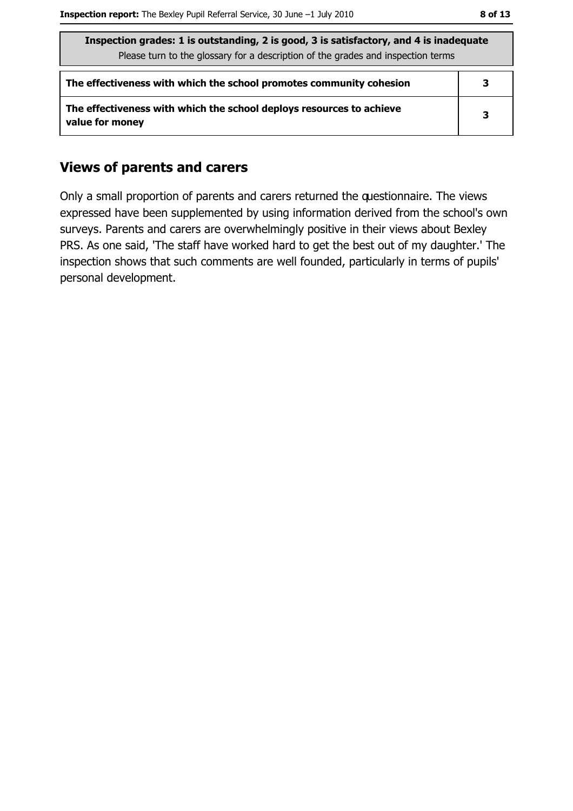| Inspection grades: 1 is outstanding, 2 is good, 3 is satisfactory, and 4 is inadequate  |   |  |
|-----------------------------------------------------------------------------------------|---|--|
| Please turn to the glossary for a description of the grades and inspection terms        |   |  |
| The effectiveness with which the school promotes community cohesion                     | 3 |  |
| The effectiveness with which the school deploys resources to achieve<br>value for money | 3 |  |

#### **Views of parents and carers**

Only a small proportion of parents and carers returned the questionnaire. The views expressed have been supplemented by using information derived from the school's own surveys. Parents and carers are overwhelmingly positive in their views about Bexley PRS. As one said, 'The staff have worked hard to get the best out of my daughter.' The inspection shows that such comments are well founded, particularly in terms of pupils' personal development.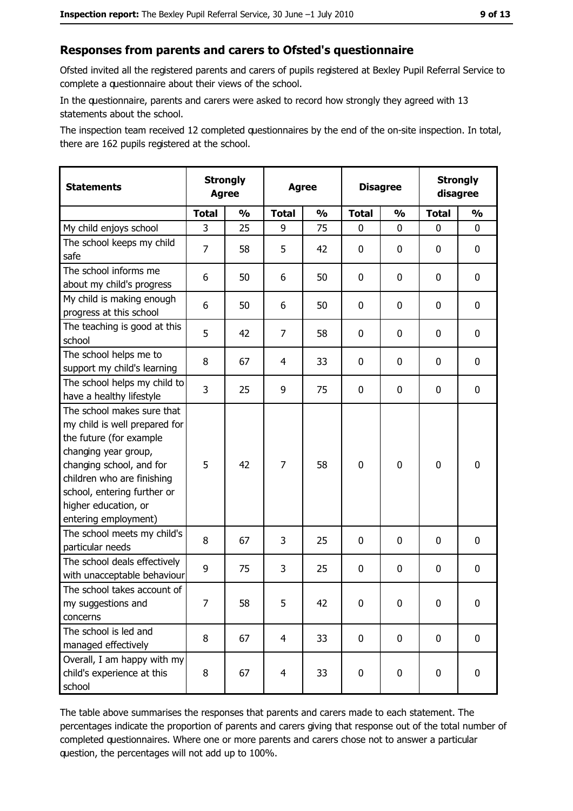## Responses from parents and carers to Ofsted's questionnaire

Ofsted invited all the registered parents and carers of pupils registered at Bexley Pupil Referral Service to complete a questionnaire about their views of the school.

In the questionnaire, parents and carers were asked to record how strongly they agreed with 13 statements about the school.

The inspection team received 12 completed questionnaires by the end of the on-site inspection. In total, there are 162 pupils registered at the school.

| <b>Statements</b>                                                                                                                                                                                                                                       | <b>Strongly</b><br><b>Agree</b> |               | <b>Agree</b>   |               | <b>Disagree</b> |               | <b>Strongly</b><br>disagree |               |
|---------------------------------------------------------------------------------------------------------------------------------------------------------------------------------------------------------------------------------------------------------|---------------------------------|---------------|----------------|---------------|-----------------|---------------|-----------------------------|---------------|
|                                                                                                                                                                                                                                                         | <b>Total</b>                    | $\frac{1}{2}$ | <b>Total</b>   | $\frac{0}{0}$ | <b>Total</b>    | $\frac{0}{0}$ | <b>Total</b>                | $\frac{1}{2}$ |
| My child enjoys school                                                                                                                                                                                                                                  | 3                               | 25            | 9              | 75            | $\mathbf 0$     | 0             | 0                           | 0             |
| The school keeps my child<br>safe                                                                                                                                                                                                                       | $\overline{7}$                  | 58            | 5              | 42            | $\mathbf 0$     | 0             | 0                           | 0             |
| The school informs me<br>about my child's progress                                                                                                                                                                                                      | 6                               | 50            | 6              | 50            | $\mathbf 0$     | 0             | $\mathbf{0}$                | 0             |
| My child is making enough<br>progress at this school                                                                                                                                                                                                    | 6                               | 50            | 6              | 50            | $\mathbf 0$     | 0             | 0                           | 0             |
| The teaching is good at this<br>school                                                                                                                                                                                                                  | 5                               | 42            | 7              | 58            | $\mathbf 0$     | 0             | $\mathbf{0}$                | 0             |
| The school helps me to<br>support my child's learning                                                                                                                                                                                                   | 8                               | 67            | 4              | 33            | $\mathbf 0$     | 0             | 0                           | 0             |
| The school helps my child to<br>have a healthy lifestyle                                                                                                                                                                                                | 3                               | 25            | 9              | 75            | $\mathbf 0$     | 0             | 0                           | 0             |
| The school makes sure that<br>my child is well prepared for<br>the future (for example<br>changing year group,<br>changing school, and for<br>children who are finishing<br>school, entering further or<br>higher education, or<br>entering employment) | 5                               | 42            | 7              | 58            | $\mathbf 0$     | 0             | $\mathbf 0$                 | 0             |
| The school meets my child's<br>particular needs                                                                                                                                                                                                         | 8                               | 67            | 3              | 25            | $\mathbf 0$     | 0             | 0                           | 0             |
| The school deals effectively<br>with unacceptable behaviour                                                                                                                                                                                             | 9                               | 75            | 3              | 25            | $\mathbf 0$     | 0             | 0                           | 0             |
| The school takes account of<br>my suggestions and<br>concerns                                                                                                                                                                                           | 7                               | 58            | 5              | 42            | $\mathbf 0$     | 0             | 0                           | 0             |
| The school is led and<br>managed effectively                                                                                                                                                                                                            | 8                               | 67            | $\overline{4}$ | 33            | $\mathbf 0$     | 0             | 0                           | $\mathbf 0$   |
| Overall, I am happy with my<br>child's experience at this<br>school                                                                                                                                                                                     | 8                               | 67            | $\overline{4}$ | 33            | $\mathbf 0$     | 0             | $\mathbf 0$                 | 0             |

The table above summarises the responses that parents and carers made to each statement. The percentages indicate the proportion of parents and carers giving that response out of the total number of completed questionnaires. Where one or more parents and carers chose not to answer a particular question, the percentages will not add up to 100%.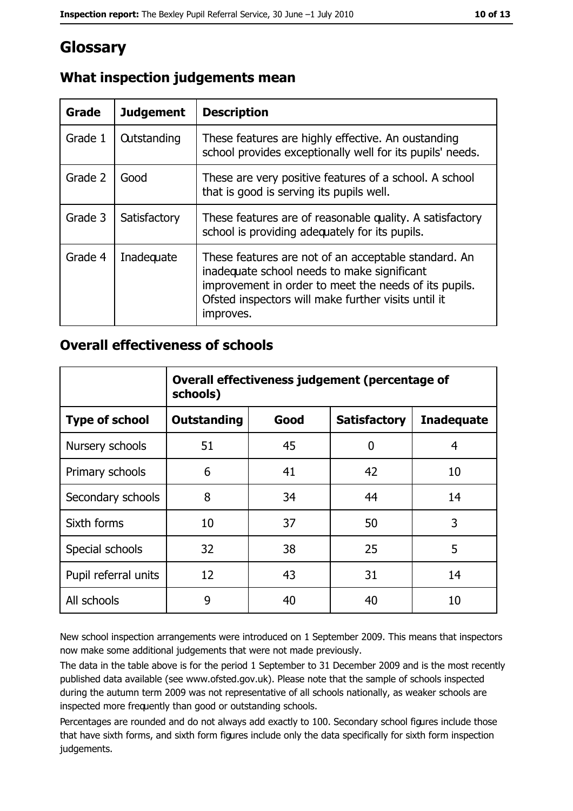# Glossary

| Grade   | <b>Judgement</b>   | <b>Description</b>                                                                                                                                                                                                               |
|---------|--------------------|----------------------------------------------------------------------------------------------------------------------------------------------------------------------------------------------------------------------------------|
| Grade 1 | <b>Outstanding</b> | These features are highly effective. An oustanding<br>school provides exceptionally well for its pupils' needs.                                                                                                                  |
| Grade 2 | Good               | These are very positive features of a school. A school<br>that is good is serving its pupils well.                                                                                                                               |
| Grade 3 | Satisfactory       | These features are of reasonable quality. A satisfactory<br>school is providing adequately for its pupils.                                                                                                                       |
| Grade 4 | Inadequate         | These features are not of an acceptable standard. An<br>inadequate school needs to make significant<br>improvement in order to meet the needs of its pupils.<br>Ofsted inspectors will make further visits until it<br>improves. |

# What inspection judgements mean

## **Overall effectiveness of schools**

|                       | Overall effectiveness judgement (percentage of<br>schools) |      |                     |                   |
|-----------------------|------------------------------------------------------------|------|---------------------|-------------------|
| <b>Type of school</b> | <b>Outstanding</b>                                         | Good | <b>Satisfactory</b> | <b>Inadequate</b> |
| Nursery schools       | 51                                                         | 45   | 0                   | 4                 |
| Primary schools       | 6                                                          | 41   | 42                  | 10                |
| Secondary schools     | 8                                                          | 34   | 44                  | 14                |
| Sixth forms           | 10                                                         | 37   | 50                  | 3                 |
| Special schools       | 32                                                         | 38   | 25                  | 5                 |
| Pupil referral units  | 12                                                         | 43   | 31                  | 14                |
| All schools           | 9                                                          | 40   | 40                  | 10                |

New school inspection arrangements were introduced on 1 September 2009. This means that inspectors now make some additional judgements that were not made previously.

The data in the table above is for the period 1 September to 31 December 2009 and is the most recently published data available (see www.ofsted.gov.uk). Please note that the sample of schools inspected during the autumn term 2009 was not representative of all schools nationally, as weaker schools are inspected more frequently than good or outstanding schools.

Percentages are rounded and do not always add exactly to 100. Secondary school figures include those that have sixth forms, and sixth form figures include only the data specifically for sixth form inspection judgements.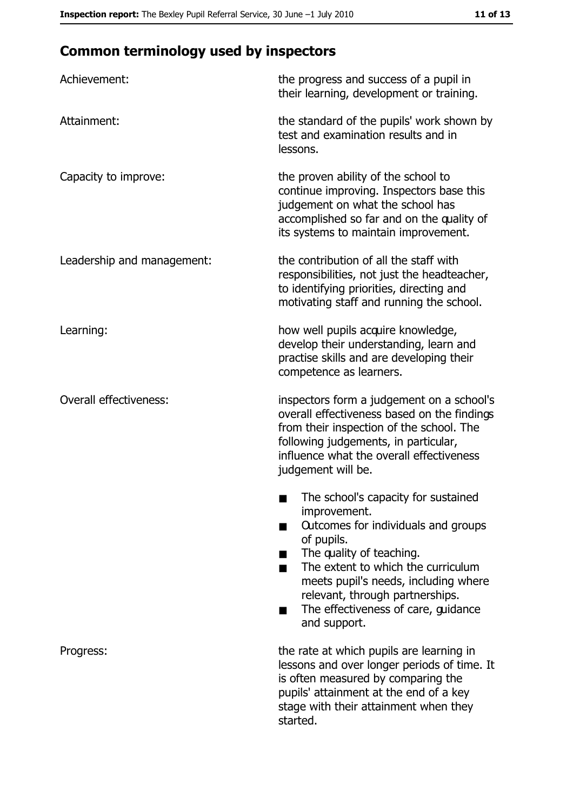# **Common terminology used by inspectors**

| Achievement:                  | the progress and success of a pupil in<br>their learning, development or training.                                                                                                                                                                                                                           |
|-------------------------------|--------------------------------------------------------------------------------------------------------------------------------------------------------------------------------------------------------------------------------------------------------------------------------------------------------------|
| Attainment:                   | the standard of the pupils' work shown by<br>test and examination results and in<br>lessons.                                                                                                                                                                                                                 |
| Capacity to improve:          | the proven ability of the school to<br>continue improving. Inspectors base this<br>judgement on what the school has<br>accomplished so far and on the quality of<br>its systems to maintain improvement.                                                                                                     |
| Leadership and management:    | the contribution of all the staff with<br>responsibilities, not just the headteacher,<br>to identifying priorities, directing and<br>motivating staff and running the school.                                                                                                                                |
| Learning:                     | how well pupils acquire knowledge,<br>develop their understanding, learn and<br>practise skills and are developing their<br>competence as learners.                                                                                                                                                          |
| <b>Overall effectiveness:</b> | inspectors form a judgement on a school's<br>overall effectiveness based on the findings<br>from their inspection of the school. The<br>following judgements, in particular,<br>influence what the overall effectiveness<br>judgement will be.                                                               |
|                               | The school's capacity for sustained<br>improvement.<br>Outcomes for individuals and groups<br>of pupils.<br>The quality of teaching.<br>The extent to which the curriculum<br>meets pupil's needs, including where<br>relevant, through partnerships.<br>The effectiveness of care, guidance<br>and support. |
| Progress:                     | the rate at which pupils are learning in<br>lessons and over longer periods of time. It<br>is often measured by comparing the<br>pupils' attainment at the end of a key<br>stage with their attainment when they<br>started.                                                                                 |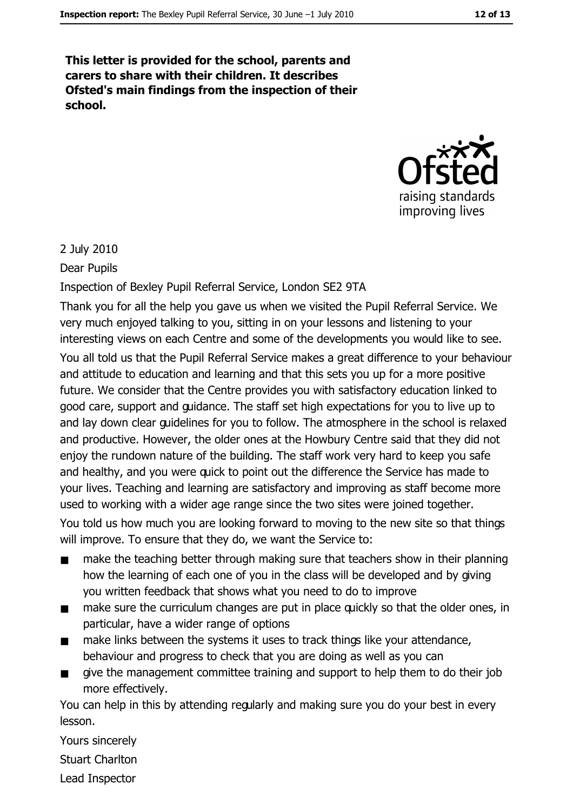This letter is provided for the school, parents and carers to share with their children. It describes Ofsted's main findings from the inspection of their school.



#### 2 July 2010

#### Dear Pupils

Inspection of Bexley Pupil Referral Service, London SE2 9TA

Thank you for all the help you gave us when we visited the Pupil Referral Service. We very much enjoyed talking to you, sitting in on your lessons and listening to your interesting views on each Centre and some of the developments you would like to see. You all told us that the Pupil Referral Service makes a great difference to your behaviour and attitude to education and learning and that this sets you up for a more positive future. We consider that the Centre provides you with satisfactory education linked to good care, support and guidance. The staff set high expectations for you to live up to and lay down clear guidelines for you to follow. The atmosphere in the school is relaxed and productive. However, the older ones at the Howbury Centre said that they did not enjoy the rundown nature of the building. The staff work very hard to keep you safe and healthy, and you were quick to point out the difference the Service has made to your lives. Teaching and learning are satisfactory and improving as staff become more used to working with a wider age range since the two sites were joined together.

You told us how much you are looking forward to moving to the new site so that things will improve. To ensure that they do, we want the Service to:

- make the teaching better through making sure that teachers show in their planning  $\blacksquare$ how the learning of each one of you in the class will be developed and by giving you written feedback that shows what you need to do to improve
- make sure the curriculum changes are put in place guickly so that the older ones, in  $\blacksquare$ particular, have a wider range of options
- make links between the systems it uses to track things like your attendance, behaviour and progress to check that you are doing as well as you can
- give the management committee training and support to help them to do their job more effectively.

You can help in this by attending regularly and making sure you do your best in every lesson.

Yours sincerely **Stuart Charlton** Lead Inspector